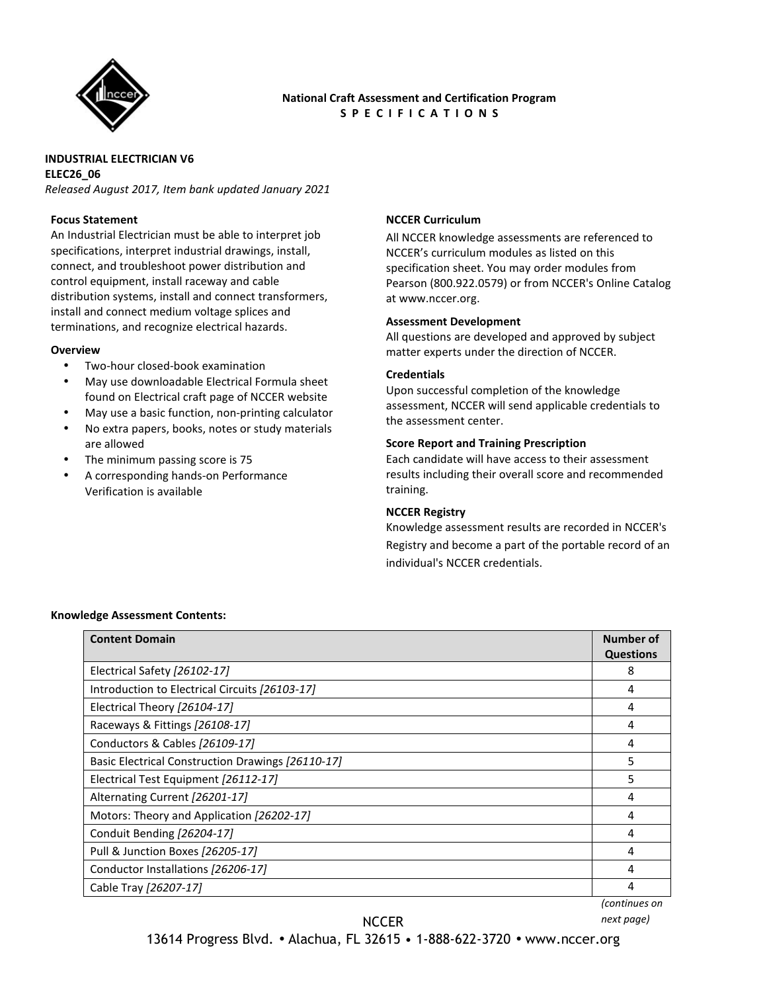

# **National Craft Assessment and Certification Program S P E C I F I C A T I O N S**

#### **INDUSTRIAL ELECTRICIAN V6 ELEC26\_06**

*Released August 2017, Item bank updated January 2021* 

## **Focus Statement**

An Industrial Electrician must be able to interpret job specifications, interpret industrial drawings, install, connect, and troubleshoot power distribution and control equipment, install raceway and cable distribution systems, install and connect transformers, install and connect medium voltage splices and terminations, and recognize electrical hazards.

#### **Overview**

- Two-hour closed-book examination
- May use downloadable Electrical Formula sheet found on Electrical craft page of NCCER website
- May use a basic function, non-printing calculator
- No extra papers, books, notes or study materials are allowed
- The minimum passing score is 75
- A corresponding hands-on Performance Verification is available

# **NCCER Curriculum**

All NCCER knowledge assessments are referenced to NCCER's curriculum modules as listed on this specification sheet. You may order modules from Pearson (800.922.0579) or from NCCER's Online Catalog at www.nccer.org.

#### **Assessment Development**

All questions are developed and approved by subject matter experts under the direction of NCCER.

#### **Credentials**

Upon successful completion of the knowledge assessment, NCCER will send applicable credentials to the assessment center.

#### **Score Report and Training Prescription**

Each candidate will have access to their assessment results including their overall score and recommended training.

#### **NCCER Registry**

Knowledge assessment results are recorded in NCCER's Registry and become a part of the portable record of an individual's NCCER credentials.

#### **Knowledge Assessment Contents:**

| <b>Content Domain</b>                             | <b>Number of</b>  |
|---------------------------------------------------|-------------------|
|                                                   | <b>Questions</b>  |
| Electrical Safety [26102-17]                      | 8                 |
| Introduction to Electrical Circuits [26103-17]    | 4                 |
| Electrical Theory [26104-17]                      | 4                 |
| Raceways & Fittings [26108-17]                    | 4                 |
| Conductors & Cables [26109-17]                    | 4                 |
| Basic Electrical Construction Drawings [26110-17] | 5                 |
| Electrical Test Equipment [26112-17]              | 5                 |
| Alternating Current [26201-17]                    | 4                 |
| Motors: Theory and Application [26202-17]         |                   |
| Conduit Bending [26204-17]                        | 4                 |
| Pull & Junction Boxes [26205-17]                  |                   |
| Conductor Installations [26206-17]                |                   |
| Cable Tray [26207-17]                             | 4                 |
|                                                   | $l$ aantinusaa an |

*(continues on*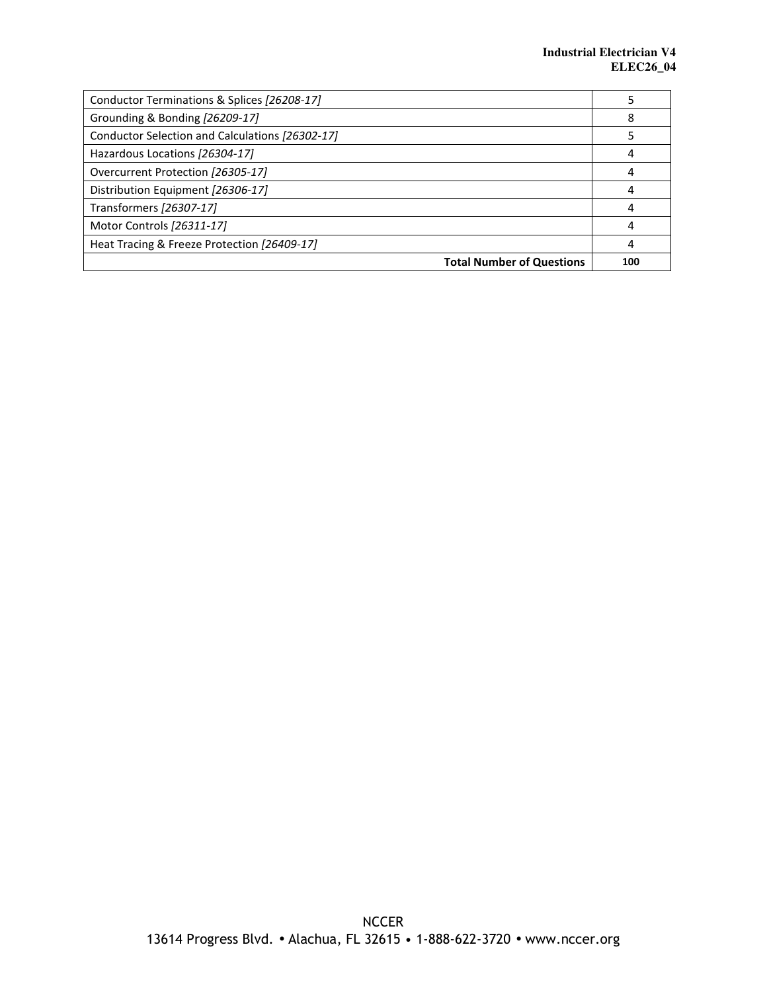| Conductor Terminations & Splices [26208-17]     |     |
|-------------------------------------------------|-----|
| Grounding & Bonding [26209-17]                  | 8   |
| Conductor Selection and Calculations [26302-17] |     |
| Hazardous Locations [26304-17]                  |     |
| Overcurrent Protection [26305-17]               | 4   |
| Distribution Equipment [26306-17]               |     |
| Transformers [26307-17]                         |     |
| Motor Controls [26311-17]                       | 4   |
| Heat Tracing & Freeze Protection [26409-17]     | 4   |
| <b>Total Number of Questions</b>                | 100 |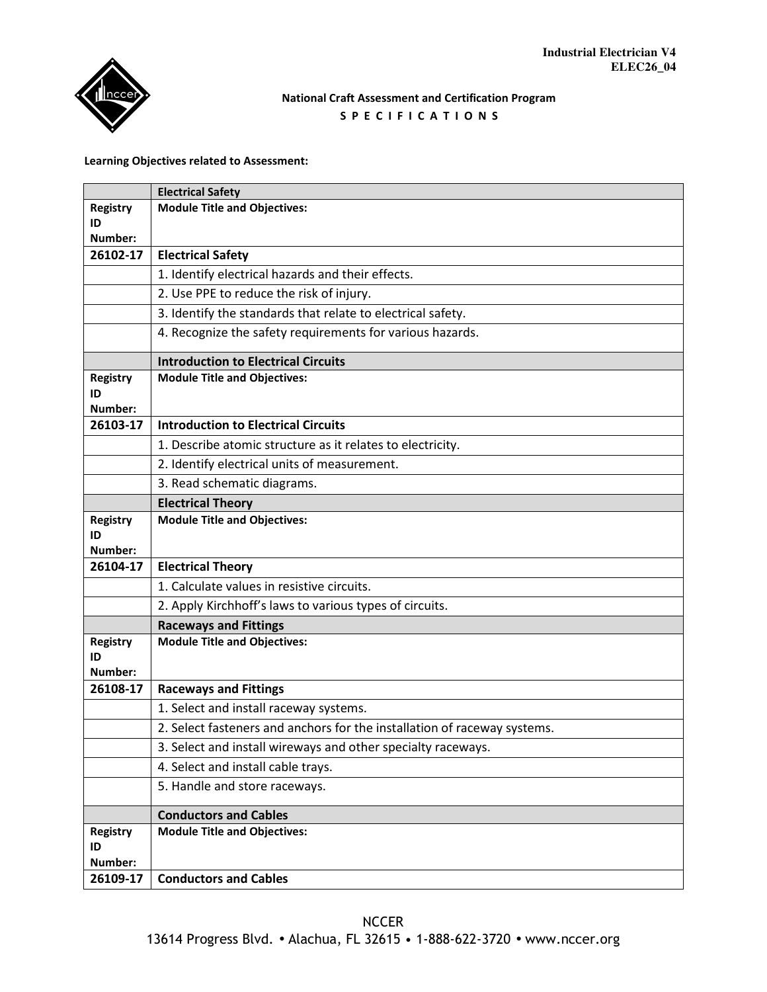# **National Craft Assessment and Certification Program S P E C I F I C A T I O N S**

## **Learning Objectives related to Assessment:**

|                           | <b>Electrical Safety</b>                                                 |
|---------------------------|--------------------------------------------------------------------------|
| <b>Registry</b>           | <b>Module Title and Objectives:</b>                                      |
| ID<br>Number:             |                                                                          |
| 26102-17                  | <b>Electrical Safety</b>                                                 |
|                           | 1. Identify electrical hazards and their effects.                        |
|                           | 2. Use PPE to reduce the risk of injury.                                 |
|                           | 3. Identify the standards that relate to electrical safety.              |
|                           | 4. Recognize the safety requirements for various hazards.                |
|                           |                                                                          |
|                           | <b>Introduction to Electrical Circuits</b>                               |
| <b>Registry</b><br>ID     | <b>Module Title and Objectives:</b>                                      |
| Number:                   |                                                                          |
| 26103-17                  | <b>Introduction to Electrical Circuits</b>                               |
|                           | 1. Describe atomic structure as it relates to electricity.               |
|                           | 2. Identify electrical units of measurement.                             |
|                           | 3. Read schematic diagrams.                                              |
|                           | <b>Electrical Theory</b>                                                 |
| <b>Registry</b><br>ID     | <b>Module Title and Objectives:</b>                                      |
| Number:<br>26104-17       | <b>Electrical Theory</b>                                                 |
|                           | 1. Calculate values in resistive circuits.                               |
|                           | 2. Apply Kirchhoff's laws to various types of circuits.                  |
|                           | <b>Raceways and Fittings</b>                                             |
| <b>Registry</b>           | <b>Module Title and Objectives:</b>                                      |
| ID                        |                                                                          |
| Number:                   |                                                                          |
| 26108-17                  | <b>Raceways and Fittings</b>                                             |
|                           | 1. Select and install raceway systems.                                   |
|                           | 2. Select fasteners and anchors for the installation of raceway systems. |
|                           | 3. Select and install wireways and other specialty raceways.             |
|                           | 4. Select and install cable trays.                                       |
|                           | 5. Handle and store raceways.                                            |
|                           | <b>Conductors and Cables</b>                                             |
| Registry<br>ID<br>Number: | <b>Module Title and Objectives:</b>                                      |
| 26109-17                  | <b>Conductors and Cables</b>                                             |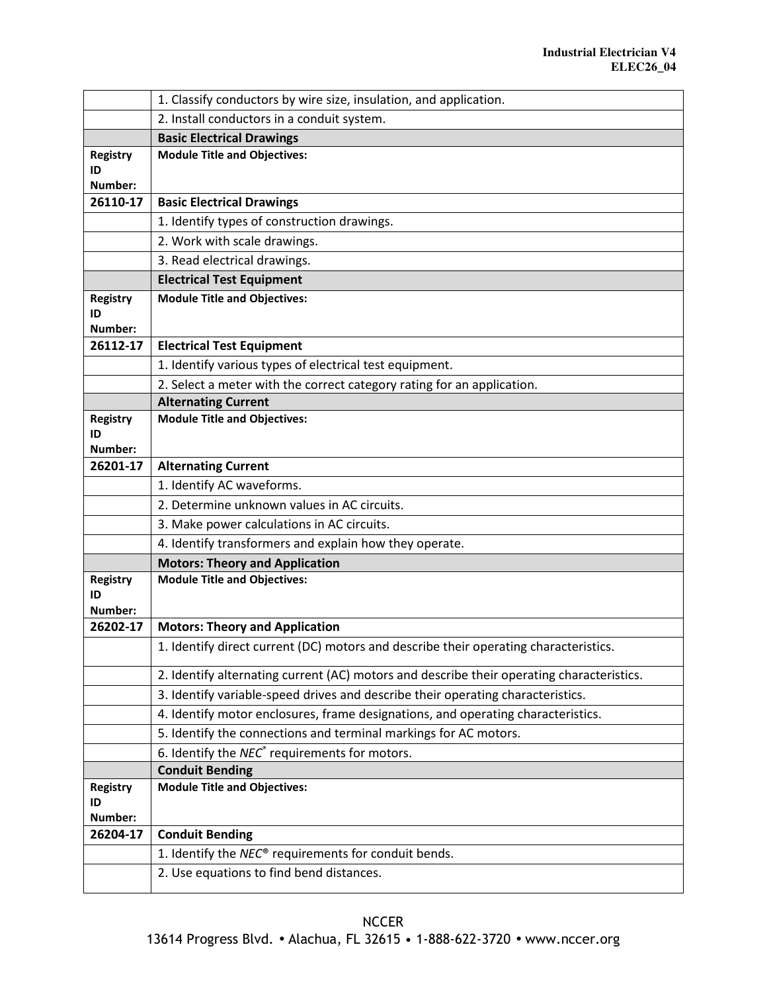|                                  | 1. Classify conductors by wire size, insulation, and application.                         |
|----------------------------------|-------------------------------------------------------------------------------------------|
|                                  | 2. Install conductors in a conduit system.                                                |
|                                  | <b>Basic Electrical Drawings</b>                                                          |
| <b>Registry</b>                  | <b>Module Title and Objectives:</b>                                                       |
| ID<br>Number:                    |                                                                                           |
| 26110-17                         | <b>Basic Electrical Drawings</b>                                                          |
|                                  | 1. Identify types of construction drawings.                                               |
|                                  | 2. Work with scale drawings.                                                              |
|                                  | 3. Read electrical drawings.                                                              |
|                                  | <b>Electrical Test Equipment</b>                                                          |
| <b>Registry</b>                  | <b>Module Title and Objectives:</b>                                                       |
| ID                               |                                                                                           |
| Number:                          |                                                                                           |
| 26112-17                         | <b>Electrical Test Equipment</b>                                                          |
|                                  | 1. Identify various types of electrical test equipment.                                   |
|                                  | 2. Select a meter with the correct category rating for an application.                    |
|                                  | <b>Alternating Current</b>                                                                |
| <b>Registry</b><br>ID            | <b>Module Title and Objectives:</b>                                                       |
| Number:                          |                                                                                           |
| 26201-17                         | <b>Alternating Current</b>                                                                |
|                                  | 1. Identify AC waveforms.                                                                 |
|                                  | 2. Determine unknown values in AC circuits.                                               |
|                                  | 3. Make power calculations in AC circuits.                                                |
|                                  | 4. Identify transformers and explain how they operate.                                    |
|                                  | <b>Motors: Theory and Application</b>                                                     |
| <b>Registry</b><br>ID<br>Number: | <b>Module Title and Objectives:</b>                                                       |
| 26202-17                         | <b>Motors: Theory and Application</b>                                                     |
|                                  | 1. Identify direct current (DC) motors and describe their operating characteristics.      |
|                                  | 2. Identify alternating current (AC) motors and describe their operating characteristics. |
|                                  | 3. Identify variable-speed drives and describe their operating characteristics.           |
|                                  | 4. Identify motor enclosures, frame designations, and operating characteristics.          |
|                                  | 5. Identify the connections and terminal markings for AC motors.                          |
|                                  | 6. Identify the NEC <sup>®</sup> requirements for motors.                                 |
|                                  | <b>Conduit Bending</b>                                                                    |
| <b>Registry</b>                  | <b>Module Title and Objectives:</b>                                                       |
| ID<br>Number:                    |                                                                                           |
| 26204-17                         | <b>Conduit Bending</b>                                                                    |
|                                  | 1. Identify the NEC® requirements for conduit bends.                                      |
|                                  | 2. Use equations to find bend distances.                                                  |
|                                  |                                                                                           |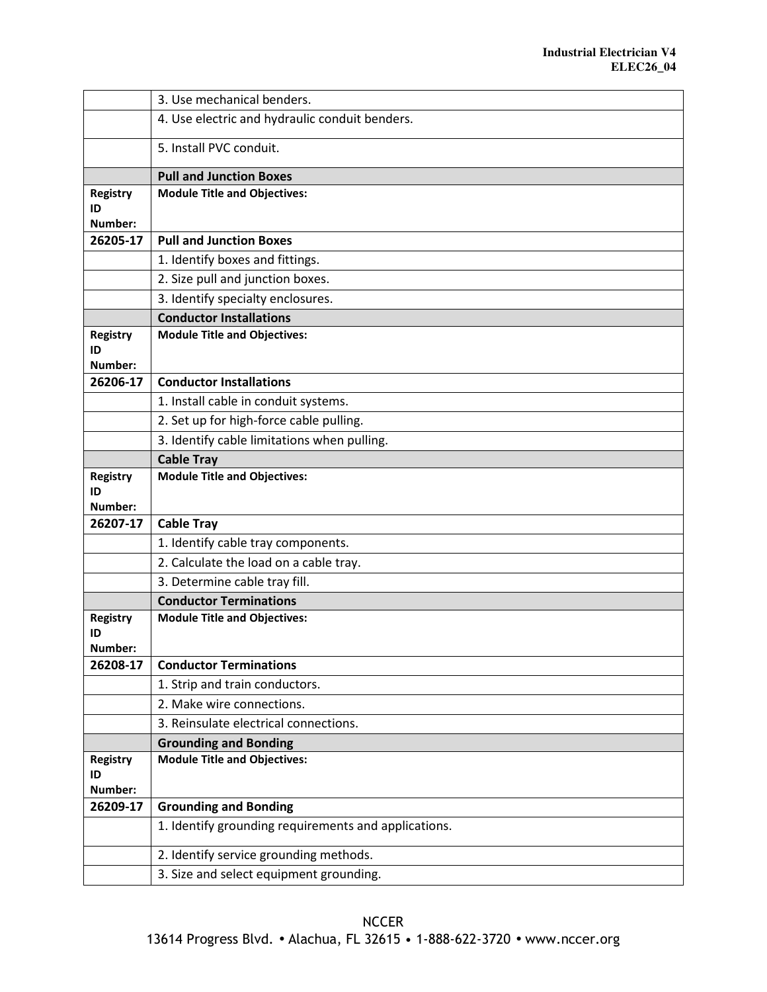|                       | 3. Use mechanical benders.                           |
|-----------------------|------------------------------------------------------|
|                       | 4. Use electric and hydraulic conduit benders.       |
|                       | 5. Install PVC conduit.                              |
|                       | <b>Pull and Junction Boxes</b>                       |
| <b>Registry</b>       | <b>Module Title and Objectives:</b>                  |
| ID                    |                                                      |
| Number:               |                                                      |
| 26205-17              | <b>Pull and Junction Boxes</b>                       |
|                       | 1. Identify boxes and fittings.                      |
|                       | 2. Size pull and junction boxes.                     |
|                       | 3. Identify specialty enclosures.                    |
|                       | <b>Conductor Installations</b>                       |
| <b>Registry</b>       | <b>Module Title and Objectives:</b>                  |
| ID                    |                                                      |
| Number:<br>26206-17   | <b>Conductor Installations</b>                       |
|                       |                                                      |
|                       | 1. Install cable in conduit systems.                 |
|                       | 2. Set up for high-force cable pulling.              |
|                       | 3. Identify cable limitations when pulling.          |
|                       | <b>Cable Tray</b>                                    |
| <b>Registry</b><br>ID | <b>Module Title and Objectives:</b>                  |
| Number:               |                                                      |
| 26207-17              | <b>Cable Tray</b>                                    |
|                       | 1. Identify cable tray components.                   |
|                       | 2. Calculate the load on a cable tray.               |
|                       | 3. Determine cable tray fill.                        |
|                       | <b>Conductor Terminations</b>                        |
| <b>Registry</b>       | <b>Module Title and Objectives:</b>                  |
| ID                    |                                                      |
| Number:<br>26208-17   | <b>Conductor Terminations</b>                        |
|                       | 1. Strip and train conductors.                       |
|                       | 2. Make wire connections.                            |
|                       | 3. Reinsulate electrical connections.                |
|                       | <b>Grounding and Bonding</b>                         |
| Registry              | <b>Module Title and Objectives:</b>                  |
| ID                    |                                                      |
| Number:               |                                                      |
| 26209-17              | <b>Grounding and Bonding</b>                         |
|                       | 1. Identify grounding requirements and applications. |
|                       | 2. Identify service grounding methods.               |
|                       |                                                      |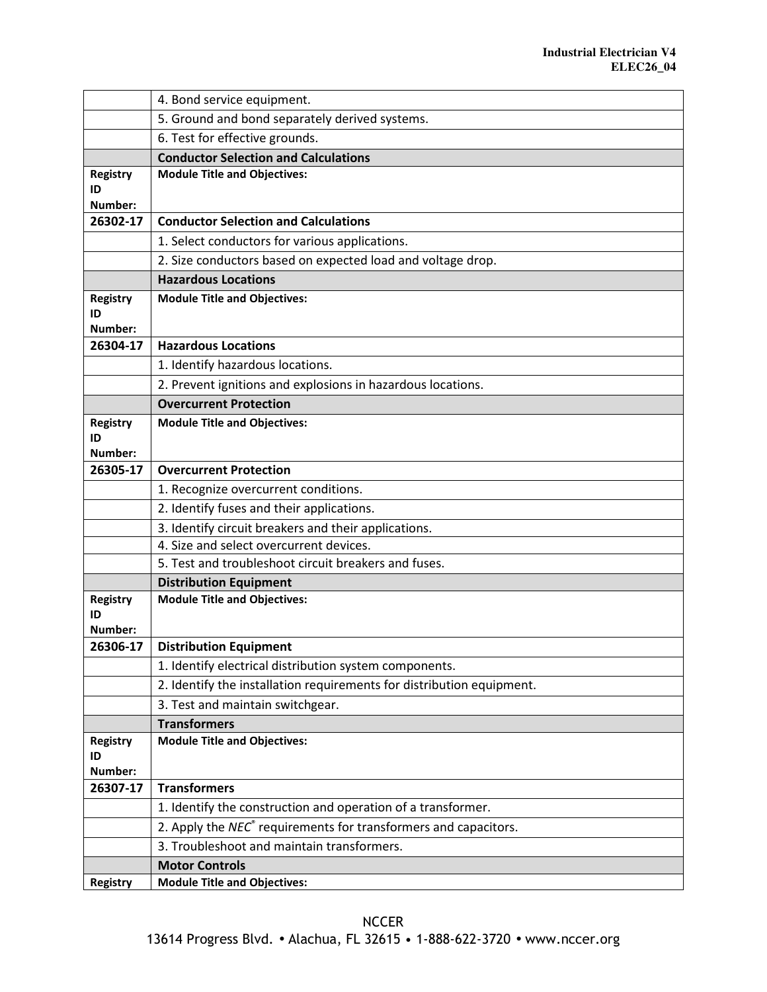|                       | 4. Bond service equipment.                                                             |
|-----------------------|----------------------------------------------------------------------------------------|
|                       | 5. Ground and bond separately derived systems.                                         |
|                       | 6. Test for effective grounds.                                                         |
|                       | <b>Conductor Selection and Calculations</b>                                            |
| <b>Registry</b>       | <b>Module Title and Objectives:</b>                                                    |
| ID<br>Number:         |                                                                                        |
| 26302-17              | <b>Conductor Selection and Calculations</b>                                            |
|                       | 1. Select conductors for various applications.                                         |
|                       | 2. Size conductors based on expected load and voltage drop.                            |
|                       | <b>Hazardous Locations</b>                                                             |
| <b>Registry</b>       | <b>Module Title and Objectives:</b>                                                    |
| ID                    |                                                                                        |
| Number:               |                                                                                        |
| 26304-17              | <b>Hazardous Locations</b>                                                             |
|                       | 1. Identify hazardous locations.                                                       |
|                       | 2. Prevent ignitions and explosions in hazardous locations.                            |
|                       | <b>Overcurrent Protection</b>                                                          |
| <b>Registry</b>       | <b>Module Title and Objectives:</b>                                                    |
| ID<br>Number:         |                                                                                        |
| 26305-17              | <b>Overcurrent Protection</b>                                                          |
|                       | 1. Recognize overcurrent conditions.                                                   |
|                       | 2. Identify fuses and their applications.                                              |
|                       | 3. Identify circuit breakers and their applications.                                   |
|                       | 4. Size and select overcurrent devices.                                                |
|                       | 5. Test and troubleshoot circuit breakers and fuses.                                   |
|                       | <b>Distribution Equipment</b>                                                          |
| <b>Registry</b><br>ID | <b>Module Title and Objectives:</b>                                                    |
| Number:               |                                                                                        |
| 26306-17              | <b>Distribution Equipment</b>                                                          |
|                       | 1. Identify electrical distribution system components.                                 |
|                       | 2. Identify the installation requirements for distribution equipment.                  |
|                       | 3. Test and maintain switchgear.                                                       |
|                       | <b>Transformers</b>                                                                    |
| <b>Registry</b>       | <b>Module Title and Objectives:</b>                                                    |
| ID<br>Number:         |                                                                                        |
| 26307-17              | <b>Transformers</b>                                                                    |
|                       | 1. Identify the construction and operation of a transformer.                           |
|                       | $\overline{2}$ . Apply the NEC $\degree$ requirements for transformers and capacitors. |
|                       | 3. Troubleshoot and maintain transformers.                                             |
|                       | <b>Motor Controls</b>                                                                  |
| <b>Registry</b>       | <b>Module Title and Objectives:</b>                                                    |